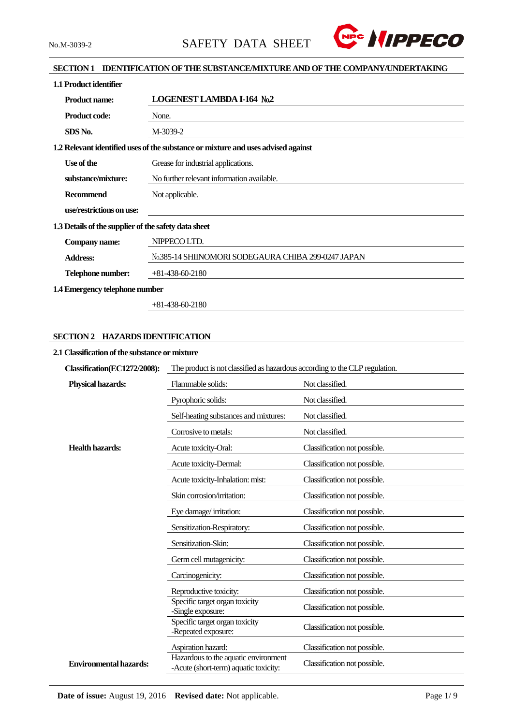

# **SECTION 1 IDENTIFICATION OF THE SUBSTANCE/MIXTURE AND OF THE COMPANY/UNDERTAKING**

| 1.1 Product identifier                               |                                                                                   |
|------------------------------------------------------|-----------------------------------------------------------------------------------|
| <b>Product name:</b>                                 | LOGENEST LAMBDA I-164 No.2                                                        |
| <b>Product code:</b>                                 | None.                                                                             |
| SDS No.                                              | M-3039-2                                                                          |
|                                                      | 1.2 Relevant identified uses of the substance or mixture and uses advised against |
| Use of the                                           | Grease for industrial applications.                                               |
| substance/mixture:                                   | No further relevant information available.                                        |
| <b>Recommend</b>                                     | Not applicable.                                                                   |
| use/restrictions on use:                             |                                                                                   |
| 1.3 Details of the supplier of the safety data sheet |                                                                                   |
| Company name:                                        | NIPPECO LTD.                                                                      |
| <b>Address:</b>                                      | No.385-14 SHIINOMORI SODEGAURA CHIBA 299-0247 JAPAN                               |
| Telephone number:                                    | $+81-438-60-2180$                                                                 |
| 1.4 Emergency telephone number                       |                                                                                   |

+81-438-60-2180

# **SECTION 2 HAZARDS IDENTIFICATION**

# **2.1 Classification of the substance or mixture**

| Classification(EC1272/2008):  | The product is not classified as hazardous according to the CLP regulation.   |                              |  |  |
|-------------------------------|-------------------------------------------------------------------------------|------------------------------|--|--|
| <b>Physical hazards:</b>      | Flammable solids:                                                             | Not classified.              |  |  |
|                               | Pyrophoric solids:                                                            | Not classified.              |  |  |
|                               | Self-heating substances and mixtures:                                         | Not classified.              |  |  |
|                               | Corrosive to metals:                                                          | Not classified.              |  |  |
| <b>Health hazards:</b>        | Acute toxicity-Oral:                                                          | Classification not possible. |  |  |
|                               | Acute toxicity-Dermal:                                                        | Classification not possible. |  |  |
|                               | Acute toxicity-Inhalation: mist:                                              | Classification not possible. |  |  |
|                               | Skin corrosion/irritation:                                                    | Classification not possible. |  |  |
|                               | Eye damage/irritation:                                                        | Classification not possible. |  |  |
|                               | Sensitization-Respiratory:                                                    | Classification not possible. |  |  |
|                               | Sensitization-Skin:                                                           | Classification not possible. |  |  |
|                               | Germ cell mutagenicity:                                                       | Classification not possible. |  |  |
|                               | Carcinogenicity:                                                              | Classification not possible. |  |  |
|                               | Reproductive toxicity:                                                        | Classification not possible. |  |  |
|                               | Specific target organ toxicity<br>-Single exposure:                           | Classification not possible. |  |  |
|                               | Specific target organ toxicity<br>-Repeated exposure:                         | Classification not possible. |  |  |
|                               | Aspiration hazard:                                                            | Classification not possible. |  |  |
| <b>Environmental hazards:</b> | Hazardous to the aquatic environment<br>-Acute (short-term) aquatic toxicity: | Classification not possible. |  |  |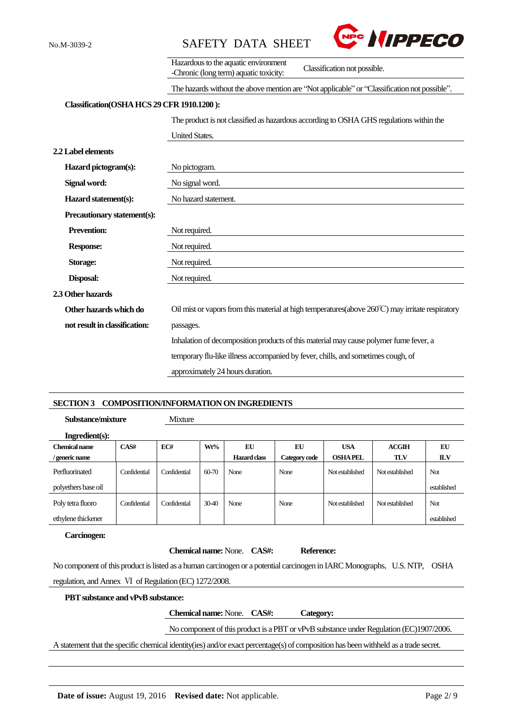



|                               | Hazardous to the aquatic environment<br>Classification not possible.<br>-Chronic (long term) aquatic toxicity: |  |  |  |  |
|-------------------------------|----------------------------------------------------------------------------------------------------------------|--|--|--|--|
|                               | The hazards without the above mention are "Not applicable" or "Classification not possible".                   |  |  |  |  |
|                               | Classification(OSHA HCS 29 CFR 1910.1200):                                                                     |  |  |  |  |
|                               | The product is not classified as hazardous according to OSHA GHS regulations within the                        |  |  |  |  |
|                               | <b>United States.</b>                                                                                          |  |  |  |  |
| 2.2 Label elements            |                                                                                                                |  |  |  |  |
| Hazard pictogram(s):          | No pictogram.                                                                                                  |  |  |  |  |
| Signal word:                  | No signal word.                                                                                                |  |  |  |  |
| Hazard statement(s):          | No hazard statement.                                                                                           |  |  |  |  |
| Precautionary statement(s):   |                                                                                                                |  |  |  |  |
| <b>Prevention:</b>            | Not required.                                                                                                  |  |  |  |  |
| <b>Response:</b>              | Not required.                                                                                                  |  |  |  |  |
| Storage:                      | Not required.                                                                                                  |  |  |  |  |
| Disposal:                     | Not required.                                                                                                  |  |  |  |  |
| 2.3 Other hazards             |                                                                                                                |  |  |  |  |
| Other hazards which do        | Oil mist or vapors from this material at high temperatures (above $260^{\circ}$ C) may irritate respiratory    |  |  |  |  |
| not result in classification: | passages.                                                                                                      |  |  |  |  |
|                               | Inhalation of decomposition products of this material may cause polymer fume fever, a                          |  |  |  |  |
|                               | temporary flu-like illness accompanied by fever, chills, and sometimes cough, of                               |  |  |  |  |
|                               | approximately 24 hours duration.                                                                               |  |  |  |  |

### **SECTION 3 COMPOSITION/INFORMATION ON INGREDIENTS**

**Substance/mixture** Mixture

| Ingradient(s):      |              |              |         |                     |               |                 |                 |             |
|---------------------|--------------|--------------|---------|---------------------|---------------|-----------------|-----------------|-------------|
| Chemical name       | CAS#         | EC#          | Wt%     | EU                  | EU            | <b>USA</b>      | ACGIH           | EU          |
| / generic name      |              |              |         | <b>Hazard class</b> | Category code | <b>OSHAPEL</b>  | <b>TLV</b>      | <b>ILV</b>  |
| Perfluorinated      | Confidential | Confidential | $60-70$ | None                | None          | Not established | Not established | <b>Not</b>  |
| polyethers base oil |              |              |         |                     |               |                 |                 | established |
| Poly tetra fluoro   | Confidential | Confidential | $30-40$ | None                | None          | Not established | Not established | <b>Not</b>  |
| ethylene thickener  |              |              |         |                     |               |                 |                 | established |

### **Carcinogen:**

 $\overline{a}$ 

 $Reference:$ 

No component of this product is listed as a human carcinogen or a potential carcinogen in IARC Monographs, U.S. NTP, OSHA regulation, and Annex Ⅵ of Regulation (EC) 1272/2008.

| No component of this product is a PBT or vPvB substance under Regulation (EC)1907/2006.                                             |
|-------------------------------------------------------------------------------------------------------------------------------------|
| A statement that the specific chemical identity(ies) and/or exact percentage(s) of composition has been withheld as a trade secret. |
|                                                                                                                                     |
|                                                                                                                                     |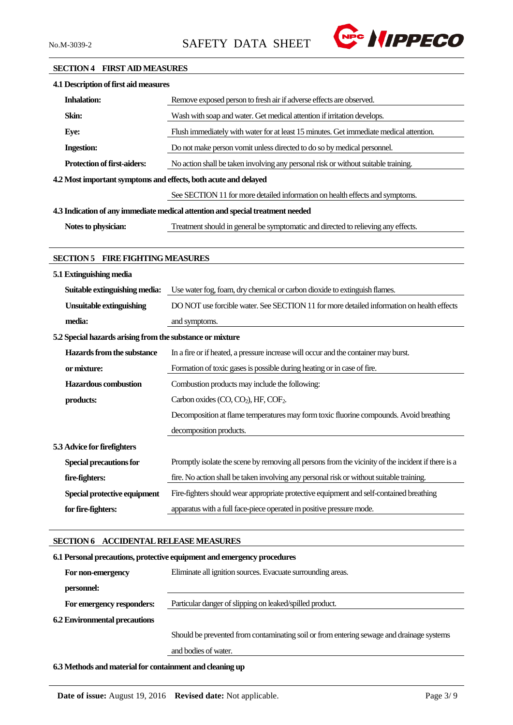

# **SECTION 4 FIRST AID MEASURES**

| 4.1 Description of first aid measures                           |                                                                                                    |  |  |
|-----------------------------------------------------------------|----------------------------------------------------------------------------------------------------|--|--|
| <b>Inhalation:</b>                                              | Remove exposed person to fresh air if adverse effects are observed.                                |  |  |
| Skin:                                                           | Wash with soap and water. Get medical attention if irritation develops.                            |  |  |
| <b>Eye:</b>                                                     | Flush immediately with water for at least 15 minutes. Get immediate medical attention.             |  |  |
| <b>Ingestion:</b>                                               | Do not make person vomit unless directed to do so by medical personnel.                            |  |  |
| <b>Protection of first-aiders:</b>                              | No action shall be taken involving any personal risk or without suitable training.                 |  |  |
| 4.2 Most important symptoms and effects, both acute and delayed |                                                                                                    |  |  |
|                                                                 | See SECTION 11 for more detailed information on health effects and symptoms.                       |  |  |
|                                                                 | 4.3 Indication of any immediate medical attention and special treatment needed                     |  |  |
| Notes to physician:                                             | Treatment should in general be symptomatic and directed to relieving any effects.                  |  |  |
|                                                                 |                                                                                                    |  |  |
| <b>SECTION 5 FIRE FIGHTING MEASURES</b>                         |                                                                                                    |  |  |
| 5.1 Extinguishing media                                         |                                                                                                    |  |  |
| Suitable extinguishing media:                                   | Use water fog, foam, dry chemical or carbon dioxide to extinguish flames.                          |  |  |
| <b>Unsuitable extinguishing</b>                                 | DO NOT use forcible water. See SECTION 11 for more detailed information on health effects          |  |  |
| media:                                                          | and symptoms.                                                                                      |  |  |
| 5.2 Special hazards arising from the substance or mixture       |                                                                                                    |  |  |
| Hazards from the substance                                      | In a fire or if heated, a pressure increase will occur and the container may burst.                |  |  |
| or mixture:                                                     | Formation of toxic gases is possible during heating or in case of fire.                            |  |  |
| <b>Hazardous</b> combustion                                     | Combustion products may include the following:                                                     |  |  |
| products:                                                       | Carbon oxides (CO, CO <sub>2</sub> ), HF, COF <sub>2</sub> .                                       |  |  |
|                                                                 | Decomposition at flame temperatures may form toxic fluorine compounds. Avoid breathing             |  |  |
|                                                                 | decomposition products.                                                                            |  |  |
| 5.3 Advice for firefighters                                     |                                                                                                    |  |  |
| <b>Special precautions for</b>                                  | Promptly isolate the scene by removing all persons from the vicinity of the incident if there is a |  |  |
| fire-fighters:                                                  | fire. No action shall be taken involving any personal risk or without suitable training.           |  |  |
| Special protective equipment                                    | Fire-fighters should wear appropriate protective equipment and self-contained breathing            |  |  |
| for fire-fighters:                                              | apparatus with a full face-piece operated in positive pressure mode.                               |  |  |
|                                                                 |                                                                                                    |  |  |
| SECTION 6 ACCIDENTAL RELEASE MEASURES                           |                                                                                                    |  |  |
|                                                                 | 6.1 Personal precautions, protective equipment and emergency procedures                            |  |  |
| For non-emergency                                               | Eliminate all ignition sources. Evacuate surrounding areas.                                        |  |  |
| personnel:                                                      |                                                                                                    |  |  |
| For emergency responders:                                       | Particular danger of slipping on leaked/spilled product.                                           |  |  |

**6.2 Environmental precautions**

Should be prevented from contaminating soil or from entering sewage and drainage systems

and bodies of water.

**6.3 Methods and material for containment and cleaning up**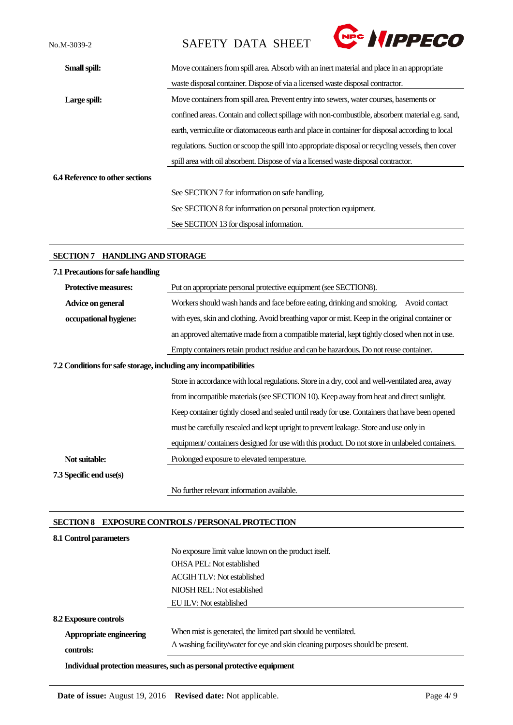No.M-3039-2 SAFETY DATA SHEET



| Small spill:                    | Move containers from spill area. Absorb with an inert material and place in an appropriate         |
|---------------------------------|----------------------------------------------------------------------------------------------------|
|                                 | waste disposal container. Dispose of via a licensed waste disposal contractor.                     |
| Large spill:                    | Move containers from spill area. Prevent entry into sewers, water courses, basements or            |
|                                 | confined areas. Contain and collect spillage with non-combustible, absorbent material e.g. sand,   |
|                                 | earth, vermiculite or diatomaceous earth and place in container for disposal according to local    |
|                                 | regulations. Suction or scoop the spill into appropriate disposal or recycling vessels, then cover |
|                                 | spill area with oil absorbent. Dispose of via a licensed waste disposal contractor.                |
| 6.4 Reference to other sections |                                                                                                    |
|                                 | See SECTION 7 for information on safe handling.                                                    |
|                                 | See SECTION 8 for information on personal protection equipment.                                    |
|                                 | See SECTION 13 for disposal information.                                                           |

# **SECTION 7 HANDLING AND STORAGE**

| 7.1 Precautions for safe handling                                |                                                                                                 |  |  |  |
|------------------------------------------------------------------|-------------------------------------------------------------------------------------------------|--|--|--|
| <b>Protective measures:</b>                                      | Put on appropriate personal protective equipment (see SECTION8).                                |  |  |  |
| Advice on general                                                | Workers should wash hands and face before eating, drinking and smoking.<br>Avoid contact        |  |  |  |
| occupational hygiene:                                            | with eyes, skin and clothing. Avoid breathing vapor or mist. Keep in the original container or  |  |  |  |
|                                                                  | an approved alternative made from a compatible material, kept tightly closed when not in use.   |  |  |  |
|                                                                  | Empty containers retain product residue and can be hazardous. Do not reuse container.           |  |  |  |
| 7.2 Conditions for safe storage, including any incompatibilities |                                                                                                 |  |  |  |
|                                                                  | Store in accordance with local regulations. Store in a dry, cool and well-ventilated area, away |  |  |  |
|                                                                  | from incompatible materials (see SECTION 10). Keep away from heat and direct sunlight.          |  |  |  |
|                                                                  | Keep container tightly closed and sealed until ready for use. Containers that have been opened  |  |  |  |
|                                                                  | must be carefully resealed and kept upright to prevent leakage. Store and use only in           |  |  |  |
|                                                                  | equipment/containers designed for use with this product. Do not store in unlabeled containers.  |  |  |  |
| Not suitable:                                                    | Prolonged exposure to elevated temperature.                                                     |  |  |  |
| 7.3 Specific end use(s)                                          |                                                                                                 |  |  |  |
|                                                                  | No further relevant information available.                                                      |  |  |  |

# **SECTION 8 EXPOSURE CONTROLS / PERSONAL PROTECTION**

| 8.1 Control parameters       |                                                                                |
|------------------------------|--------------------------------------------------------------------------------|
|                              | No exposure limit value known on the product itself.                           |
|                              | <b>OHSA PEL:</b> Not established                                               |
|                              | <b>ACGIH TLV: Not established</b>                                              |
|                              | NIOSH REL: Not established                                                     |
|                              | EU ILV: Not established                                                        |
| <b>8.2 Exposure controls</b> |                                                                                |
| Appropriate engineering      | When mist is generated, the limited part should be ventilated.                 |
| controls:                    | A washing facility/water for eye and skin cleaning purposes should be present. |
|                              | Individual protection measures, such as personal protective equipment          |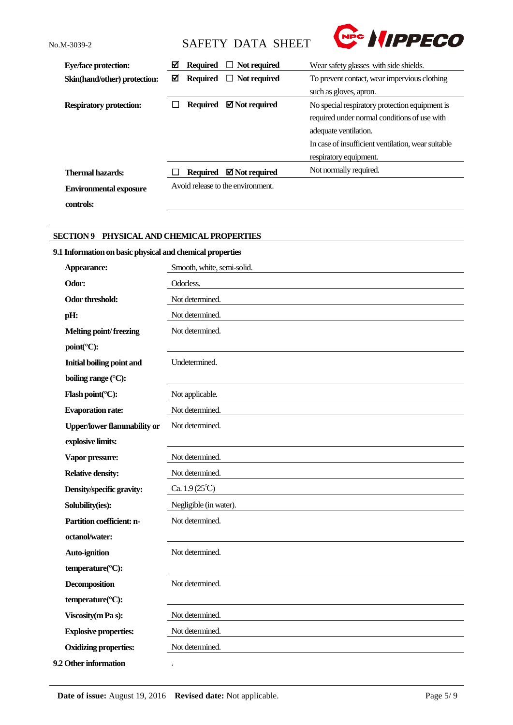

**controls:**

No.M-3039-2 SAFETY DATA SHEET



| <b>Eye/face protection:</b>    | М | <b>Required</b> | $\Box$ Not required               | Wear safety glasses with side shields.             |
|--------------------------------|---|-----------------|-----------------------------------|----------------------------------------------------|
| Skin(hand/other) protection:   | ⊠ | <b>Required</b> | $\Box$ Not required               | To prevent contact, wear impervious clothing       |
|                                |   |                 |                                   | such as gloves, apron.                             |
| <b>Respiratory protection:</b> |   | <b>Required</b> | $\boxtimes$ Not required          | No special respiratory protection equipment is     |
|                                |   |                 |                                   | required under normal conditions of use with       |
|                                |   |                 |                                   | adequate ventilation.                              |
|                                |   |                 |                                   | In case of insufficient ventilation, wear suitable |
|                                |   |                 |                                   | respiratory equipment.                             |
| Thermal hazards:               |   | <b>Required</b> | $\boxtimes$ Not required          | Not normally required.                             |
| <b>Environmental exposure</b>  |   |                 | Avoid release to the environment. |                                                    |

# **SECTION 9 PHYSICAL AND CHEMICAL PROPERTIES**

# **9.1 Information on basic physical and chemical properties**

| Appearance:                        | Smooth, white, semi-solid.    |
|------------------------------------|-------------------------------|
| Odor:                              | Odorless.                     |
| Odor threshold:                    | Not determined.               |
| pH:                                | Not determined.               |
| Melting point/freezing             | Not determined.               |
| point(°C):                         |                               |
| Initial boiling point and          | Undetermined.                 |
| boiling range (°C):                |                               |
| Flash point(°C):                   | Not applicable.               |
| <b>Evaporation rate:</b>           | Not determined.               |
| <b>Upper/lower flammability or</b> | Not determined.               |
| explosive limits:                  |                               |
| Vapor pressure:                    | Not determined.               |
| <b>Relative density:</b>           | Not determined.               |
| Density/specific gravity:          | Ca. $1.9(25^{\circ}\text{C})$ |
| Solubility(ies):                   | Negligible (in water).        |
| <b>Partition coefficient: n-</b>   | Not determined.               |
| octanol/water:                     |                               |
| <b>Auto-ignition</b>               | Not determined.               |
| temperature(°C):                   |                               |
| <b>Decomposition</b>               | Not determined.               |
| temperature(°C):                   |                               |
| Viscosity (m Pa s):                | Not determined.               |
| <b>Explosive properties:</b>       | Not determined.               |
| <b>Oxidizing properties:</b>       | Not determined.               |
| 9.2 Other information              |                               |
|                                    |                               |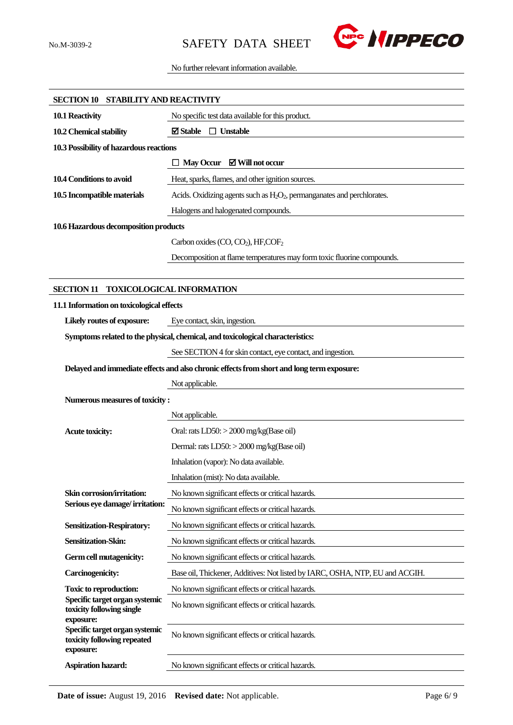

# No further relevant information available.

| SECTION 10 STABILITY AND REACTIVITY                             |                                                                                           |  |
|-----------------------------------------------------------------|-------------------------------------------------------------------------------------------|--|
| 10.1 Reactivity                                                 | No specific test data available for this product.                                         |  |
| 10.2 Chemical stability                                         | $\boxtimes$ Stable<br>$\Box$ Unstable                                                     |  |
| 10.3 Possibility of hazardous reactions                         |                                                                                           |  |
|                                                                 | $\Box$ May Occur $\Box$ Will not occur                                                    |  |
| 10.4 Conditions to avoid                                        | Heat, sparks, flames, and other ignition sources.                                         |  |
| 10.5 Incompatible materials                                     | Acids. Oxidizing agents such as $H_2O_2$ , permanganates and perchlorates.                |  |
|                                                                 | Halogens and halogenated compounds.                                                       |  |
| 10.6 Hazardous decomposition products                           |                                                                                           |  |
|                                                                 | Carbon oxides (CO, CO <sub>2</sub> ), HF,COF <sub>2</sub>                                 |  |
|                                                                 | Decomposition at flame temperatures may form toxic fluorine compounds.                    |  |
|                                                                 |                                                                                           |  |
| <b>SECTION 11</b>                                               | <b>TOXICOLOGICAL INFORMATION</b>                                                          |  |
| 11.1 Information on toxicological effects                       |                                                                                           |  |
| Likely routes of exposure:                                      | Eye contact, skin, ingestion.                                                             |  |
|                                                                 | Symptoms related to the physical, chemical, and toxicological characteristics:            |  |
|                                                                 | See SECTION 4 for skin contact, eye contact, and ingestion.                               |  |
|                                                                 | Delayed and immediate effects and also chronic effects from short and long term exposure: |  |
|                                                                 | Not applicable.                                                                           |  |
| Numerous measures of toxicity:                                  |                                                                                           |  |
|                                                                 | Not applicable.                                                                           |  |
| <b>Acute toxicity:</b>                                          | Oral: rats $LD50$ : $>$ 2000 mg/kg(Base oil)                                              |  |
|                                                                 | Dermal: rats LD50: > 2000 mg/kg(Base oil)                                                 |  |
|                                                                 | Inhalation (vapor): No data available.                                                    |  |
|                                                                 | Inhalation (mist): No data available.                                                     |  |
| Skin corrosion/irritation:                                      | No known significant effects or critical hazards.                                         |  |
| Serious eye damage/irritation:                                  | No known significant effects or critical hazards.                                         |  |
| <b>Sensitization-Respiratory:</b>                               | No known significant effects or critical hazards.                                         |  |
| Sensitization-Skin:                                             | No known significant effects or critical hazards.                                         |  |
| Germ cell mutagenicity:                                         | No known significant effects or critical hazards.                                         |  |
| <b>Carcinogenicity:</b>                                         | Base oil, Thickener, Additives: Not listed by IARC, OSHA, NTP, EU and ACGIH.              |  |
| <b>Toxic to reproduction:</b><br>Specific target organ systemic | No known significant effects or critical hazards.                                         |  |
| toxicity following single                                       | No known significant effects or critical hazards.                                         |  |
| exposure:<br>Specific target organ systemic                     |                                                                                           |  |
| toxicity following repeated                                     | No known significant effects or critical hazards.                                         |  |
| exposure:                                                       |                                                                                           |  |
| <b>Aspiration hazard:</b>                                       | No known significant effects or critical hazards.                                         |  |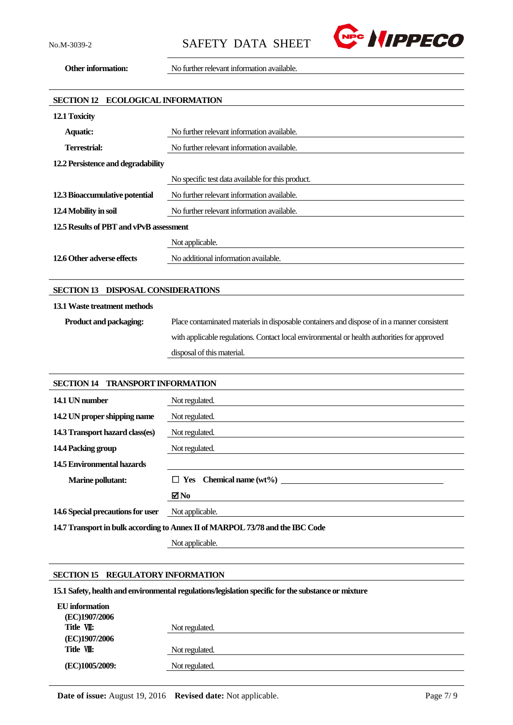

**Other information:** No further relevant information available.

| <b>ECOLOGICAL INFORMATION</b><br><b>SECTION 12</b>  |                                                                                             |  |
|-----------------------------------------------------|---------------------------------------------------------------------------------------------|--|
| 12.1 Toxicity                                       |                                                                                             |  |
| Aquatic:                                            | No further relevant information available.                                                  |  |
| <b>Terrestrial:</b>                                 | No further relevant information available.                                                  |  |
| 12.2 Persistence and degradability                  |                                                                                             |  |
|                                                     | No specific test data available for this product.                                           |  |
| 12.3 Bioaccumulative potential                      | No further relevant information available.                                                  |  |
| 12.4 Mobility in soil                               | No further relevant information available.                                                  |  |
| 12.5 Results of PBT and vPvB assessment             |                                                                                             |  |
|                                                     | Not applicable.                                                                             |  |
| 12.6 Other adverse effects                          | No additional information available.                                                        |  |
|                                                     |                                                                                             |  |
| <b>DISPOSAL CONSIDERATIONS</b><br><b>SECTION 13</b> |                                                                                             |  |
| 13.1 Waste treatment methods                        |                                                                                             |  |
| Product and packaging:                              | Place contaminated materials in disposable containers and dispose of in a manner consistent |  |
|                                                     | with applicable regulations. Contact local environmental or health authorities for approved |  |
|                                                     | disposal of this material.                                                                  |  |
|                                                     |                                                                                             |  |
| <b>SECTION 14</b><br><b>TRANSPORT INFORMATION</b>   |                                                                                             |  |
| 14.1 UN number                                      | Not regulated.                                                                              |  |
| 14.2 UN proper shipping name                        | Not regulated.                                                                              |  |
| 14.3 Transport hazard class(es)                     | Not regulated.                                                                              |  |
| 14.4 Packing group                                  | Not regulated.                                                                              |  |
| <b>14.5 Environmental hazards</b>                   |                                                                                             |  |

| <b>Marine pollutant:</b>                                                      | $\Box$ Yes Chemical name $(wt\%)$ |  |
|-------------------------------------------------------------------------------|-----------------------------------|--|
|                                                                               | ⊠No                               |  |
| 14.6 Special precautions for user                                             | Not applicable.                   |  |
| 14.7 Transport in bulk according to Annex II of MARPOL 73/78 and the IBC Code |                                   |  |

Not applicable.

### **SECTION 15 REGULATORY INFORMATION**

**15.1 Safety, health and environmental regulations/legislation specific for the substance or mixture**

| EU information |                |
|----------------|----------------|
| (EC)1907/2006  |                |
| Title VII:     | Not regulated. |
| (EC)1907/2006  |                |
| Title VIII:    | Not regulated. |
| (EC)1005/2009: | Not regulated. |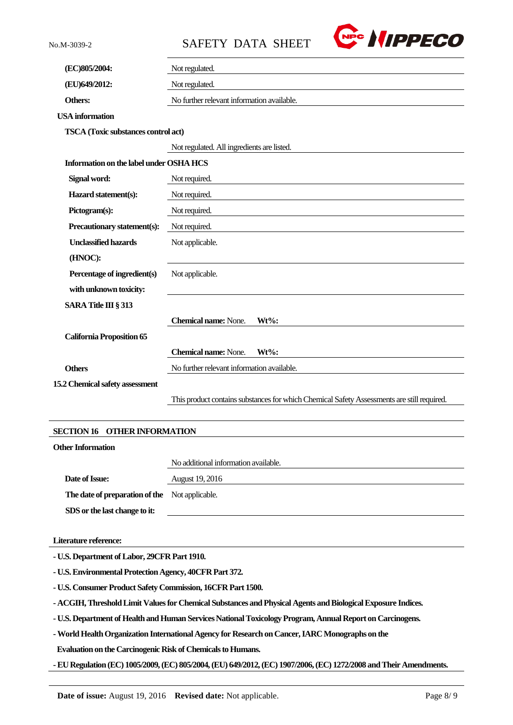No.M-3039-2 SAFETY DATA SHEET



| (EC)805/2004:                              | Not regulated.                                                                             |  |
|--------------------------------------------|--------------------------------------------------------------------------------------------|--|
| (EU)649/2012:                              | Not regulated.                                                                             |  |
| <b>Others:</b>                             | No further relevant information available.                                                 |  |
| <b>USA</b> information                     |                                                                                            |  |
| <b>TSCA</b> (Toxic substances control act) |                                                                                            |  |
|                                            | Not regulated. All ingredients are listed.                                                 |  |
| Information on the label under OSHA HCS    |                                                                                            |  |
| Signal word:                               | Not required.                                                                              |  |
| Hazard statement(s):                       | Not required.                                                                              |  |
| Pictogram(s):                              | Not required.                                                                              |  |
| Precautionary statement(s):                | Not required.                                                                              |  |
| <b>Unclassified hazards</b>                | Not applicable.                                                                            |  |
| (HNOC):                                    |                                                                                            |  |
| Percentage of ingredient(s)                | Not applicable.                                                                            |  |
| with unknown toxicity:                     |                                                                                            |  |
| <b>SARA Title III § 313</b>                |                                                                                            |  |
|                                            | <b>Chemical name: None.</b><br>Wt%:                                                        |  |
| <b>California Proposition 65</b>           |                                                                                            |  |
|                                            | <b>Chemical name: None.</b><br>$Wt\%$ :                                                    |  |
| <b>Others</b>                              | No further relevant information available.                                                 |  |
| 15.2 Chemical safety assessment            |                                                                                            |  |
|                                            | This product contains substances for which Chemical Safety Assessments are still required. |  |
|                                            |                                                                                            |  |
| <b>SECTION 16 OTHER INFORMATION</b>        |                                                                                            |  |
| <b>Other Information</b>                   |                                                                                            |  |
|                                            | No additional information available.                                                       |  |
| Date of Issue:                             | August 19, 2016                                                                            |  |
|                                            |                                                                                            |  |

**The date of preparation of the**  Not applicable. **SDS or the last change to it:**

**Literature reference:**

**- U.S. Department of Labor, 29CFR Part 1910.**

**- U.S. Environmental Protection Agency, 40CFR Part 372.**

**- U.S. Consumer Product Safety Commission, 16CFR Part 1500.**

**- ACGIH, Threshold Limit Values for Chemical Substances and Physical Agents and Biological Exposure Indices.**

**- U.S. Department of Health and Human Services National Toxicology Program, Annual Report on Carcinogens.**

**-World Health Organization International Agency for Research on Cancer, IARC Monographs on the**

**Evaluation on the Carcinogenic Risk of Chemicals to Humans.**

**-EU Regulation (EC) 1005/2009, (EC) 805/2004,(EU) 649/2012,(EC) 1907/2006,(EC) 1272/2008 and Their Amendments.**